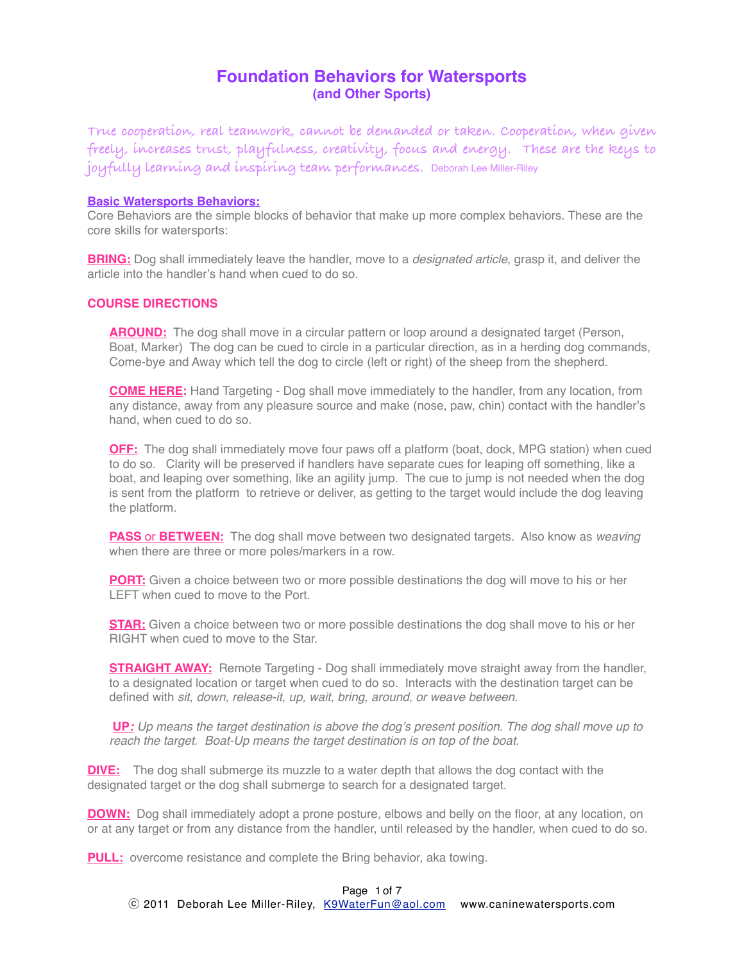# **Foundation Behaviors for Watersports (and Other Sports)**

**True cooperation, real teamwork, cannot be demanded or taken. Cooperation, when given freely, increases trust, playfulness, creativity, focus and energy. These are the keys to joyfully learning and inspiring team performances.** Deborah Lee Miller-Riley

#### **Basic Watersports Behaviors:**

Core Behaviors are the simple blocks of behavior that make up more complex behaviors. These are the core skills for watersports:

**BRING:** Dog shall immediately leave the handler, move to a *designated article*, grasp it, and deliver the article into the handler's hand when cued to do so.

## **COURSE DIRECTIONS**

**AROUND:** The dog shall move in a circular pattern or loop around a designated target (Person, Boat, Marker) The dog can be cued to circle in a particular direction, as in a herding dog commands, Come-bye and Away which tell the dog to circle (left or right) of the sheep from the shepherd.

**COME HERE:** Hand Targeting - Dog shall move immediately to the handler, from any location, from any distance, away from any pleasure source and make (nose, paw, chin) contact with the handler's hand, when cued to do so.

**OFF:** The dog shall immediately move four paws off a platform (boat, dock, MPG station) when cued to do so. Clarity will be preserved if handlers have separate cues for leaping off something, like a boat, and leaping over something, like an agility jump. The cue to jump is not needed when the dog is sent from the platform to retrieve or deliver, as getting to the target would include the dog leaving the platform.

**PASS** or **BETWEEN:** The dog shall move between two designated targets. Also know as *weaving* when there are three or more poles/markers in a row.

**PORT:** Given a choice between two or more possible destinations the dog will move to his or her LEFT when cued to move to the Port.

**STAR:** Given a choice between two or more possible destinations the dog shall move to his or her RIGHT when cued to move to the Star.

**STRAIGHT AWAY:** Remote Targeting - Dog shall immediately move straight away from the handler, to a designated location or target when cued to do so. Interacts with the destination target can be defined with *sit, down, release-it, up, wait, bring, around, or weave between.*

**UP***: Up means the target destination is above the dog*'*s present position. The dog shall move up to reach the target. Boat-Up means the target destination is on top of the boat.* 

**DIVE:** The dog shall submerge its muzzle to a water depth that allows the dog contact with the designated target or the dog shall submerge to search for a designated target.

**DOWN:** Dog shall immediately adopt a prone posture, elbows and belly on the floor, at any location, on or at any target or from any distance from the handler, until released by the handler, when cued to do so.

**PULL:** overcome resistance and complete the Bring behavior, aka towing.

Page 1 of 7 © 2011 Deborah Lee Miller-Riley, [K9WaterFun@aol.com](mailto:K9WaterFun@aol.com) www.caninewatersports.com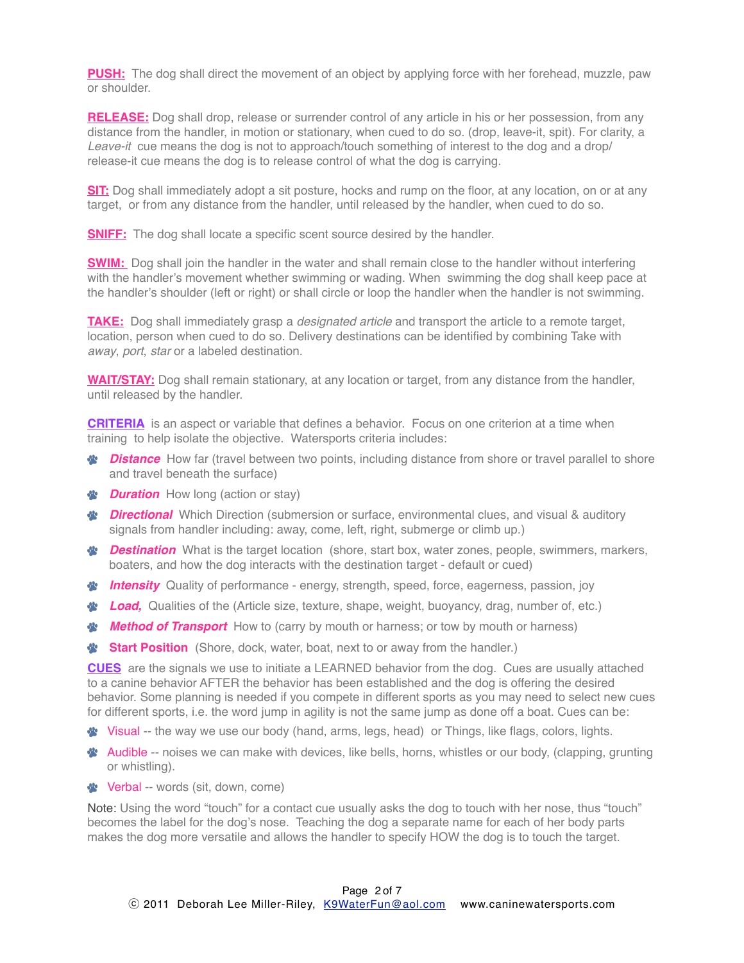**PUSH:** The dog shall direct the movement of an object by applying force with her forehead, muzzle, paw or shoulder.

**RELEASE:** Dog shall drop, release or surrender control of any article in his or her possession, from any distance from the handler, in motion or stationary, when cued to do so. (drop, leave-it, spit). For clarity, a *Leave-it* cue means the dog is not to approach/touch something of interest to the dog and a drop/ release-it cue means the dog is to release control of what the dog is carrying.

**SIT:** Dog shall immediately adopt a sit posture, hocks and rump on the floor, at any location, on or at any target, or from any distance from the handler, until released by the handler, when cued to do so.

**SNIFF:** The dog shall locate a specific scent source desired by the handler.

**SWIM:** Dog shall join the handler in the water and shall remain close to the handler without interfering with the handler's movement whether swimming or wading. When swimming the dog shall keep pace at the handler's shoulder (left or right) or shall circle or loop the handler when the handler is not swimming.

**TAKE:** Dog shall immediately grasp a *designated article* and transport the article to a remote target, location, person when cued to do so. Delivery destinations can be identified by combining Take with *away*, *port*, *star* or a labeled destination.

**WAIT/STAY:** Dog shall remain stationary, at any location or target, from any distance from the handler, until released by the handler.

**CRITERIA** is an aspect or variable that defines a behavior. Focus on one criterion at a time when training to help isolate the objective. Watersports criteria includes:

- *Bistance* How far (travel between two points, including distance from shore or travel parallel to shore and travel beneath the surface)
- *Duration* How long (action or stay)
- **<sup>2</sup>** Directional Which Direction (submersion or surface, environmental clues, and visual & auditory signals from handler including: away, come, left, right, submerge or climb up.)
- **Bestination** What is the target location (shore, start box, water zones, people, swimmers, markers, boaters, and how the dog interacts with the destination target - default or cued)
- **Intensity** Quality of performance energy, strength, speed, force, eagerness, passion, joy
- **\*** *Load,* Qualities of the (Article size, texture, shape, weight, buoyancy, drag, number of, etc.)
- *W* Method of Transport How to (carry by mouth or harness; or tow by mouth or harness)
- **Start Position** (Shore, dock, water, boat, next to or away from the handler.)

**CUES** are the signals we use to initiate a LEARNED behavior from the dog. Cues are usually attached to a canine behavior AFTER the behavior has been established and the dog is offering the desired behavior. Some planning is needed if you compete in different sports as you may need to select new cues for different sports, i.e. the word jump in agility is not the same jump as done off a boat. Cues can be:

- Visual -- the way we use our body (hand, arms, legs, head) or Things, like flags, colors, lights.
- Audible -- noises we can make with devices, like bells, horns, whistles or our body, (clapping, grunting or whistling).
- **Verbal -- words (sit, down, come)**

Note: Using the word "touch" for a contact cue usually asks the dog to touch with her nose, thus "touch" becomes the label for the dog's nose. Teaching the dog a separate name for each of her body parts makes the dog more versatile and allows the handler to specify HOW the dog is to touch the target.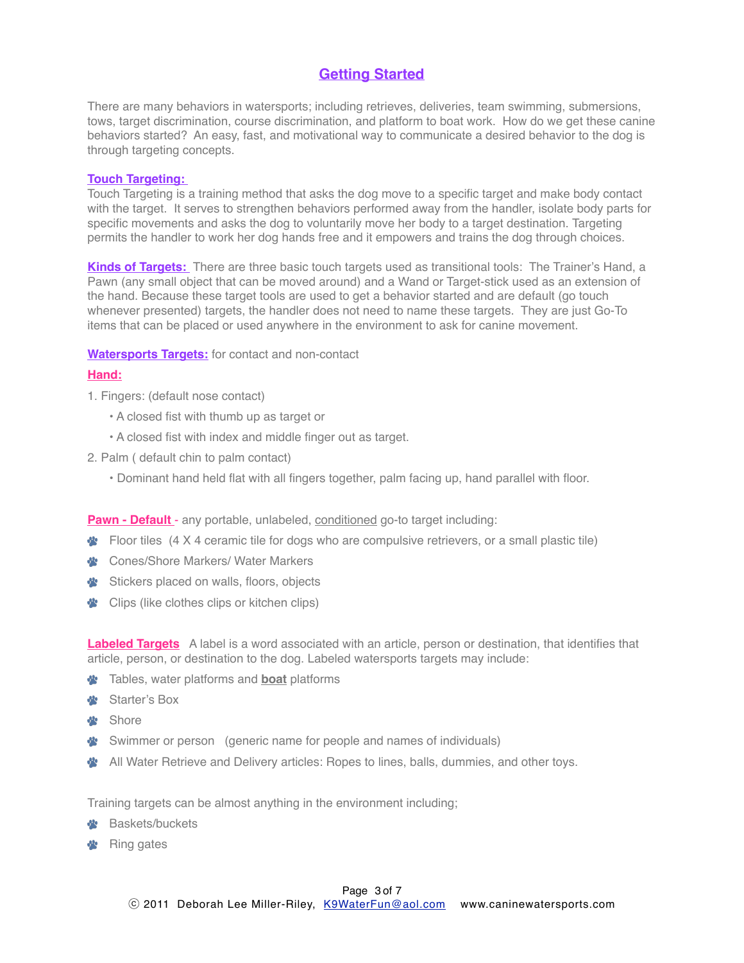# **Getting Started**

There are many behaviors in watersports; including retrieves, deliveries, team swimming, submersions, tows, target discrimination, course discrimination, and platform to boat work. How do we get these canine behaviors started? An easy, fast, and motivational way to communicate a desired behavior to the dog is through targeting concepts.

## **Touch Targeting:**

Touch Targeting is a training method that asks the dog move to a specific target and make body contact with the target. It serves to strengthen behaviors performed away from the handler, isolate body parts for specific movements and asks the dog to voluntarily move her body to a target destination. Targeting permits the handler to work her dog hands free and it empowers and trains the dog through choices.

**Kinds of Targets:** There are three basic touch targets used as transitional tools: The Trainer's Hand, a Pawn (any small object that can be moved around) and a Wand or Target-stick used as an extension of the hand. Because these target tools are used to get a behavior started and are default (go touch whenever presented) targets, the handler does not need to name these targets. They are just Go-To items that can be placed or used anywhere in the environment to ask for canine movement.

# **Watersports Targets:** for contact and non-contact

# **Hand:**

- 1. Fingers: (default nose contact)
	- A closed fist with thumb up as target or
	- A closed fist with index and middle finger out as target.
- 2. Palm ( default chin to palm contact)
	- Dominant hand held flat with all fingers together, palm facing up, hand parallel with floor.

**Pawn - Default** - any portable, unlabeled, conditioned go-to target including:

- Floor tiles (4 X 4 ceramic tile for dogs who are compulsive retrievers, or a small plastic tile)
- Cones/Shore Markers/ Water Markers
- Stickers placed on walls, floors, objects
- **B** Clips (like clothes clips or kitchen clips)

**Labeled Targets** A label is a word associated with an article, person or destination, that identifies that article, person, or destination to the dog. Labeled watersports targets may include:

- Tables, water platforms and **boat** platforms
- Starter's Box
- **Shore**
- Swimmer or person (generic name for people and names of individuals)
- **\*** All Water Retrieve and Delivery articles: Ropes to lines, balls, dummies, and other toys.

Training targets can be almost anything in the environment including;

- Baskets/buckets
- *S* Ring gates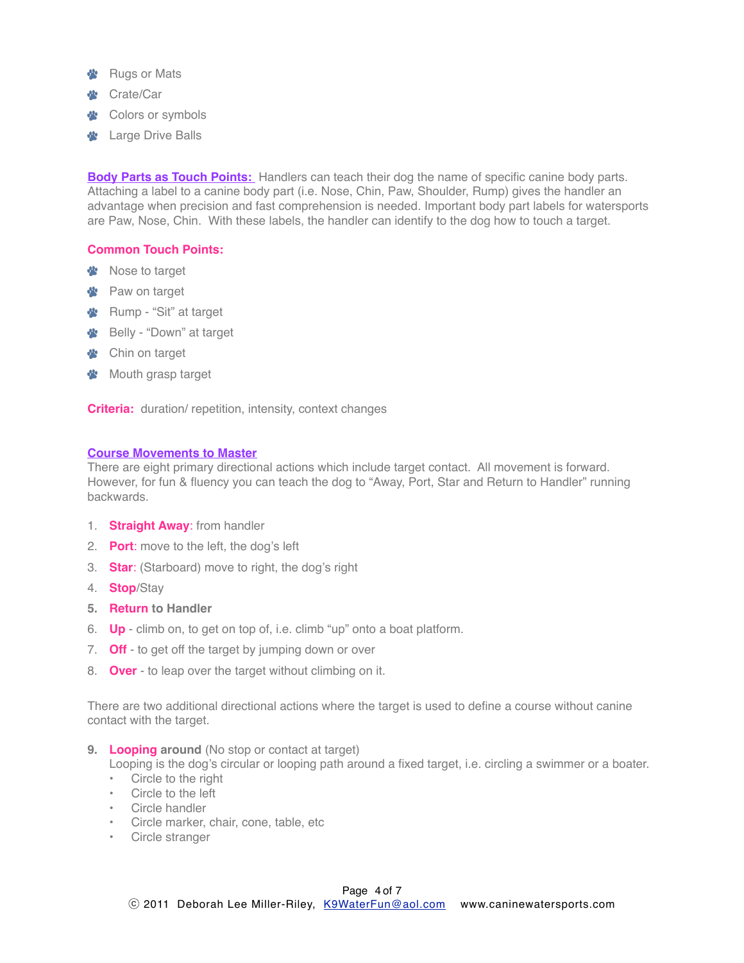- Rugs or Mats
- Crate/Car  $\mathbf{a}$
- Colors or symbols
- **\*** Large Drive Balls

**Body Parts as Touch Points:** Handlers can teach their dog the name of specific canine body parts. Attaching a label to a canine body part (i.e. Nose, Chin, Paw, Shoulder, Rump) gives the handler an advantage when precision and fast comprehension is needed. Important body part labels for watersports are Paw, Nose, Chin. With these labels, the handler can identify to the dog how to touch a target.

# **Common Touch Points:**

- Nose to target
- Paw on target
- Rump "Sit" at target
- **学** Belly "Down" at target
- Chin on target
- Mouth grasp target  $\mathbf{r}$

**Criteria:** duration/ repetition, intensity, context changes

#### **Course Movements to Master**

There are eight primary directional actions which include target contact. All movement is forward. However, for fun & fluency you can teach the dog to "Away, Port, Star and Return to Handler" running backwards.

- 1. **Straight Away**: from handler
- 2. **Port**: move to the left, the dog's left
- 3. **Star**: (Starboard) move to right, the dog's right
- 4. **Stop**/Stay
- **5. Return to Handler**
- 6. **Up** climb on, to get on top of, i.e. climb "up" onto a boat platform.
- 7. **Off** to get off the target by jumping down or over
- 8. **Over** to leap over the target without climbing on it.

There are two additional directional actions where the target is used to define a course without canine contact with the target.

**9. Looping around** (No stop or contact at target)

Looping is the dog's circular or looping path around a fixed target, i.e. circling a swimmer or a boater.

- Circle to the right
- **Circle to the left**
- Circle handler
- Circle marker, chair, cone, table, etc
- Circle stranger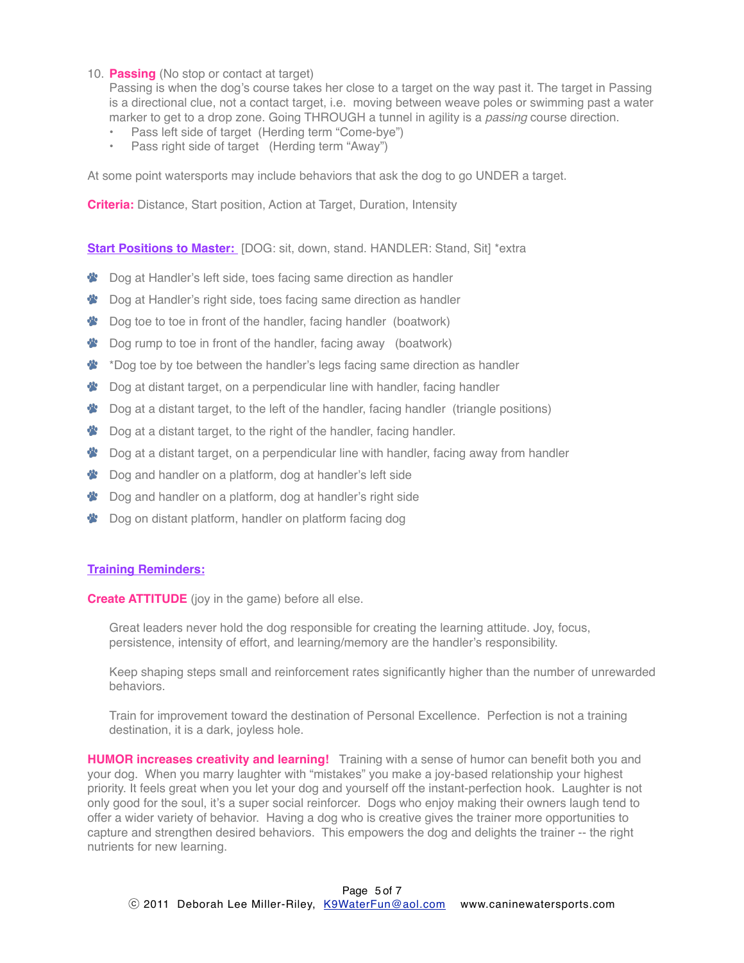10. **Passing** (No stop or contact at target)

Passing is when the dog's course takes her close to a target on the way past it. The target in Passing is a directional clue, not a contact target, i.e. moving between weave poles or swimming past a water marker to get to a drop zone. Going THROUGH a tunnel in agility is a *passing* course direction.

- Pass left side of target (Herding term "Come-bye")
- Pass right side of target (Herding term "Away")

At some point watersports may include behaviors that ask the dog to go UNDER a target.

**Criteria:** Distance, Start position, Action at Target, Duration, Intensity

**Start Positions to Master:** [DOG: sit, down, stand. HANDLER: Stand, Sit] \*extra

- Dog at Handler's left side, toes facing same direction as handler  $\mathbf{r}$
- $\frac{1}{2}$ Dog at Handler's right side, toes facing same direction as handler
- Dog toe to toe in front of the handler, facing handler (boatwork)  $\bullet$
- Dog rump to toe in front of the handler, facing away (boatwork)
- \*Dog toe by toe between the handler's legs facing same direction as handler  $\mathbf{r}$
- **\*** Dog at distant target, on a perpendicular line with handler, facing handler
- Dog at a distant target, to the left of the handler, facing handler (triangle positions)
- Dog at a distant target, to the right of the handler, facing handler.  $\theta_{\rm{B}}$
- Dog at a distant target, on a perpendicular line with handler, facing away from handler
- $\bullet$ Dog and handler on a platform, dog at handler's left side
- Dog and handler on a platform, dog at handler's right side  $\mathbf{r}$
- Dog on distant platform, handler on platform facing dog

#### **Training Reminders:**

**Create ATTITUDE** (joy in the game) before all else.

Great leaders never hold the dog responsible for creating the learning attitude. Joy, focus, persistence, intensity of effort, and learning/memory are the handler's responsibility.

Keep shaping steps small and reinforcement rates significantly higher than the number of unrewarded behaviors.

Train for improvement toward the destination of Personal Excellence. Perfection is not a training destination, it is a dark, joyless hole.

**HUMOR increases creativity and learning!** Training with a sense of humor can benefit both you and your dog. When you marry laughter with "mistakes" you make a joy-based relationship your highest priority. It feels great when you let your dog and yourself off the instant-perfection hook. Laughter is not only good for the soul, it's a super social reinforcer. Dogs who enjoy making their owners laugh tend to offer a wider variety of behavior. Having a dog who is creative gives the trainer more opportunities to capture and strengthen desired behaviors. This empowers the dog and delights the trainer -- the right nutrients for new learning.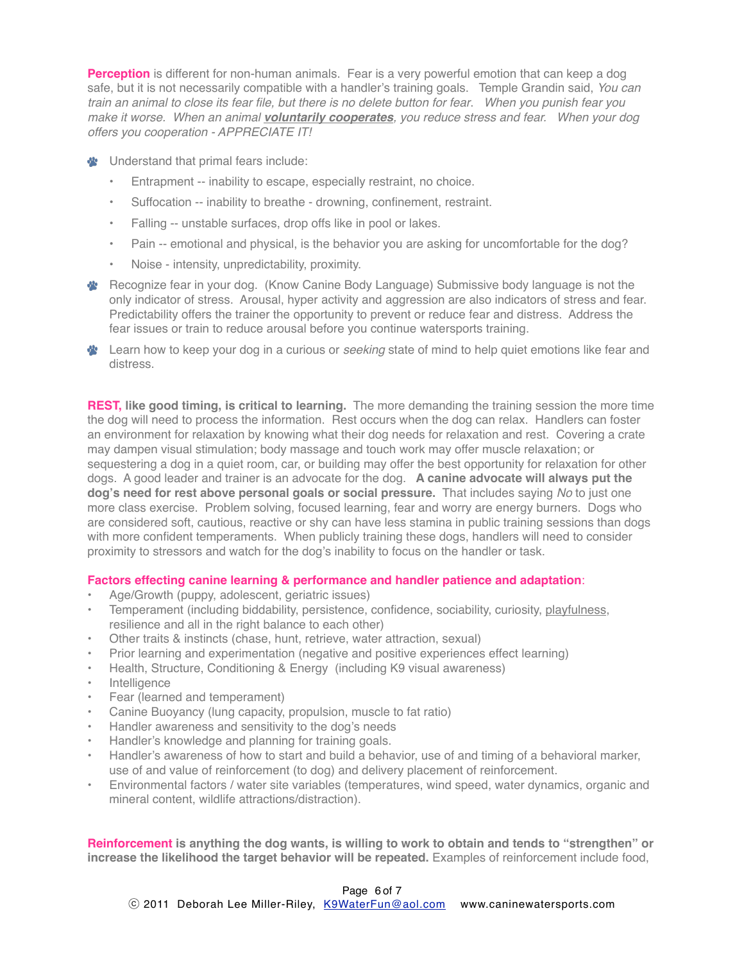**Perception** is different for non-human animals. Fear is a very powerful emotion that can keep a dog safe, but it is not necessarily compatible with a handler's training goals. Temple Grandin said, *You can train an animal to close its fear file, but there is no delete button for fear*. *When you punish fear you make it worse. When an animal voluntarily cooperates, you reduce stress and fear. When your dog offers you cooperation - APPRECIATE IT!* 

**\*** Understand that primal fears include:

- Entrapment -- inability to escape, especially restraint, no choice.
- Suffocation -- inability to breathe drowning, confinement, restraint.
- Falling -- unstable surfaces, drop offs like in pool or lakes.
- Pain -- emotional and physical, is the behavior you are asking for uncomfortable for the dog?
- Noise intensity, unpredictability, proximity.
- Recognize fear in your dog. (Know Canine Body Language) Submissive body language is not the only indicator of stress. Arousal, hyper activity and aggression are also indicators of stress and fear. Predictability offers the trainer the opportunity to prevent or reduce fear and distress. Address the fear issues or train to reduce arousal before you continue watersports training.
- Learn how to keep your dog in a curious or *seeking* state of mind to help quiet emotions like fear and distress.

**REST, like good timing, is critical to learning.** The more demanding the training session the more time the dog will need to process the information. Rest occurs when the dog can relax. Handlers can foster an environment for relaxation by knowing what their dog needs for relaxation and rest. Covering a crate may dampen visual stimulation; body massage and touch work may offer muscle relaxation; or sequestering a dog in a quiet room, car, or building may offer the best opportunity for relaxation for other dogs. A good leader and trainer is an advocate for the dog. **A canine advocate will always put the dog's need for rest above personal goals or social pressure.** That includes saying *No* to just one more class exercise. Problem solving, focused learning, fear and worry are energy burners. Dogs who are considered soft, cautious, reactive or shy can have less stamina in public training sessions than dogs with more confident temperaments. When publicly training these dogs, handlers will need to consider proximity to stressors and watch for the dog's inability to focus on the handler or task.

## **Factors effecting canine learning & performance and handler patience and adaptation**:

- Age/Growth (puppy, adolescent, geriatric issues)
- Temperament (including biddability, persistence, confidence, sociability, curiosity, playfulness, resilience and all in the right balance to each other)
- Other traits & instincts (chase, hunt, retrieve, water attraction, sexual)
- Prior learning and experimentation (negative and positive experiences effect learning)
- Health, Structure, Conditioning & Energy (including K9 visual awareness)
- **Intelligence**
- Fear (learned and temperament)
- Canine Buoyancy (lung capacity, propulsion, muscle to fat ratio)
- Handler awareness and sensitivity to the dog's needs
- Handler's knowledge and planning for training goals.
- Handler's awareness of how to start and build a behavior, use of and timing of a behavioral marker, use of and value of reinforcement (to dog) and delivery placement of reinforcement.
- Environmental factors / water site variables (temperatures, wind speed, water dynamics, organic and mineral content, wildlife attractions/distraction).

**Reinforcement is anything the dog wants, is willing to work to obtain and tends to "strengthen" or increase the likelihood the target behavior will be repeated.** Examples of reinforcement include food,